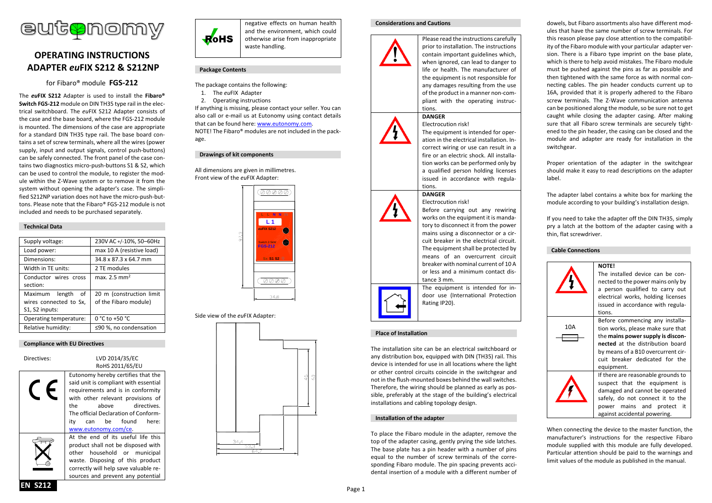

# **OPERATING INSTRUCTIONS ADAPTER** *eu***FIX S212 & S212NP**

for Fibaro® module **FGS-212**

The *eu***FIX S212** Adapter is used to install the **Fibaro® Switch FGS-212** module on DIN TH35 type rail in the electrical switchboard. The *eu*FIX S212 Adapter consists of the case and the base board, where the FGS-212 module is mounted. The dimensions of the case are appropriate for a standard DIN TH35 type rail. The base board contains a set of screw terminals, where all the wires (power supply, input and output signals, control push-buttons) can be safely connected. The front panel of the case contains two diagnostics micro-push-buttons S1 & S2, which can be used to control the module, to register the module within the Z-Wave system or to remove it from the system without opening the adapter's case. The simplified S212NP variation does not have the micro-push-buttons. Please note that the Fibaro® FGS-212 module is not included and needs to be purchased separately.

## **Technical Data**

| 230V AC +/-10%, 50-60Hz                           |
|---------------------------------------------------|
| max 10 A (resistive load)                         |
| 34.8 x 87.3 x 64.7 mm                             |
| 2 TE modules                                      |
| max. $2.5 \text{ mm}^2$                           |
| 20 m (construction limit<br>of the Fibaro module) |
| 0 °C to +50 °C                                    |
| ≤90 %, no condensation                            |
|                                                   |

#### **Compliance with EU Directives**

| Directives: | LVD 2014/35/EC<br>RoHS 2011/65/EU                                                                                                                                                                                                                                                 |
|-------------|-----------------------------------------------------------------------------------------------------------------------------------------------------------------------------------------------------------------------------------------------------------------------------------|
|             | Eutonomy hereby certifies that the<br>said unit is compliant with essential<br>requirements and is in conformity<br>with other relevant provisions of<br>above directives.<br>the<br>The official Declaration of Conform-<br>can be found<br>itv<br>here:<br>www.eutonomy.com/ce. |
|             | At the end of its useful life this<br>product shall not be disposed with<br>other household or municipal<br>waste. Disposing of this product<br>correctly will help save valuable re-<br>sources and prevent any potential                                                        |



negative effects on human health and the environment, which could otherwise arise from inappropriate waste handling.

### **Package Contents**

- The package contains the following:
- 1. The *eu*FIX Adapter
- 2. Operating instructions

If anything is missing, please contact your seller. You can also call or e-mail us at Eutonomy using contact details that can be found here: [www.eutonomy.com.](http://www.eutonomy.com/) NOTE! The Fibaro® modules are not included in the pack-

#### age.

**Drawings of kit components**

All dimensions are given in millimetres. Front view of the *eu*FIX Adapter:



Side view of the *eu*FIX Adapter:



#### **Considerations and Cautions**



Please read the instructions carefully prior to installation. The instructions contain important guidelines which, when ignored, can lead to danger to life or health. The manufacturer of the equipment is not responsible for any damages resulting from the use of the product in a manner non-compliant with the operating instructions.

#### **DANGER** Electrocution risk!

The equipment is intended for operation in the electrical installation. Incorrect wiring or use can result in a fire or an electric shock. All installation works can be performed only by a qualified person holding licenses issued in accordance with regulations.

## **DANGER**

Electrocution risk! Before carrying out any rewiring works on the equipment it is mandatory to disconnect it from the power mains using a disconnector or a circuit breaker in the electrical circuit. The equipment shall be protected by means of an overcurrent circuit breaker with nominal current of 10 A or less and a minimum contact distance 3 mm.

The equipment is intended for indoor use (International Protection Rating IP20).

## **Place of Installation**

The installation site can be an electrical switchboard or any distribution box, equipped with DIN (TH35) rail. This device is intended for use in all locations where the light or other control circuits coincide in the switchgear and not in the flush-mounted boxes behind the wall switches. Therefore, the wiring should be planned as early as possible, preferably at the stage of the building's electrical installations and cabling topology design.

#### **Installation of the adapter**

To place the Fibaro module in the adapter, remove the top of the adapter casing, gently prying the side latches. The base plate has a pin header with a number of pins equal to the number of screw terminals of the corresponding Fibaro module. The pin spacing prevents accidental insertion of a module with a different number of

dowels, but Fibaro assortments also have different modules that have the same number of screw terminals. For this reason please pay close attention to the compatibility of the Fibaro module with your particular adapter version. There is a Fibaro type imprint on the base plate, which is there to help avoid mistakes. The Fibaro module must be pushed against the pins as far as possible and then tightened with the same force as with normal connecting cables. The pin header conducts current up to 16A, provided that it is properly adhered to the Fibaro screw terminals. The Z-Wave communication antenna can be positioned along the module, so be sure not to get caught while closing the adapter casing. After making sure that all Fibaro screw terminals are securely tightened to the pin header, the casing can be closed and the module and adapter are ready for installation in the switchgear.

Proper orientation of the adapter in the switchgear should make it easy to read descriptions on the adapter label.

The adapter label contains a white box for marking the module according to your building's installation design.

If you need to take the adapter off the DIN TH35, simply pry a latch at the bottom of the adapter casing with a thin, flat screwdriver.

#### **Cable Connections**



When connecting the device to the master function, the manufacturer's instructions for the respective Fibaro module supplied with this module are fully developed. Particular attention should be paid to the warnings and